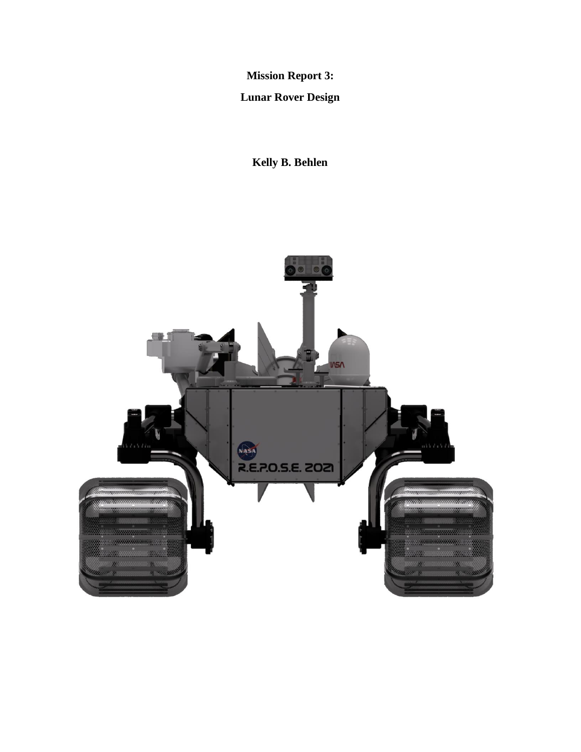**Mission Report 3:**

**Lunar Rover Design**

**Kelly B. Behlen**

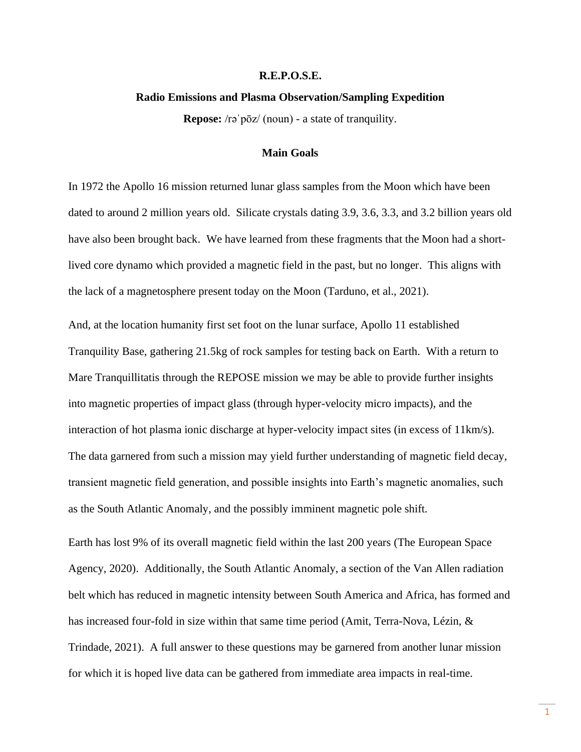### **R.E.P.O.S.E.**

#### **Radio Emissions and Plasma Observation/Sampling Expedition**

**Repose:** /rəˈpōz/ (noun) - a state of tranquility.

# **Main Goals**

In 1972 the Apollo 16 mission returned lunar glass samples from the Moon which have been dated to around 2 million years old. Silicate crystals dating 3.9, 3.6, 3.3, and 3.2 billion years old have also been brought back. We have learned from these fragments that the Moon had a shortlived core dynamo which provided a magnetic field in the past, but no longer. This aligns with the lack of a magnetosphere present today on the Moon (Tarduno, et al., 2021).

And, at the location humanity first set foot on the lunar surface, Apollo 11 established Tranquility Base, gathering 21.5kg of rock samples for testing back on Earth. With a return to Mare Tranquillitatis through the REPOSE mission we may be able to provide further insights into magnetic properties of impact glass (through hyper-velocity micro impacts), and the interaction of hot plasma ionic discharge at hyper-velocity impact sites (in excess of 11km/s). The data garnered from such a mission may yield further understanding of magnetic field decay, transient magnetic field generation, and possible insights into Earth's magnetic anomalies, such as the South Atlantic Anomaly, and the possibly imminent magnetic pole shift.

Earth has lost 9% of its overall magnetic field within the last 200 years (The European Space Agency, 2020). Additionally, the South Atlantic Anomaly, a section of the Van Allen radiation belt which has reduced in magnetic intensity between South America and Africa, has formed and has increased four-fold in size within that same time period (Amit, Terra-Nova, Lézin, & Trindade, 2021). A full answer to these questions may be garnered from another lunar mission for which it is hoped live data can be gathered from immediate area impacts in real-time.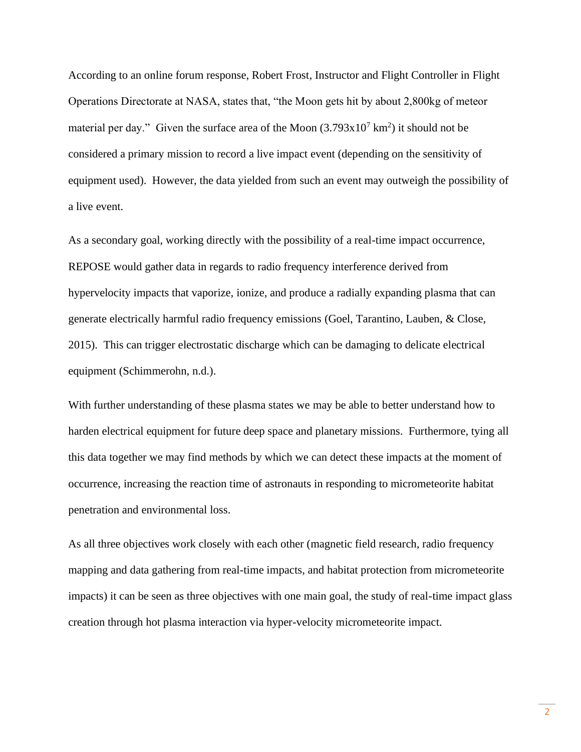According to an online forum response, Robert Frost, Instructor and Flight Controller in Flight Operations Directorate at NASA, states that, "the Moon gets hit by about 2,800kg of meteor material per day." Given the surface area of the Moon  $(3.793 \times 10^7 \text{ km}^2)$  it should not be considered a primary mission to record a live impact event (depending on the sensitivity of equipment used). However, the data yielded from such an event may outweigh the possibility of a live event.

As a secondary goal, working directly with the possibility of a real-time impact occurrence, REPOSE would gather data in regards to radio frequency interference derived from hypervelocity impacts that vaporize, ionize, and produce a radially expanding plasma that can generate electrically harmful radio frequency emissions (Goel, Tarantino, Lauben, & Close, 2015). This can trigger electrostatic discharge which can be damaging to delicate electrical equipment (Schimmerohn, n.d.).

With further understanding of these plasma states we may be able to better understand how to harden electrical equipment for future deep space and planetary missions. Furthermore, tying all this data together we may find methods by which we can detect these impacts at the moment of occurrence, increasing the reaction time of astronauts in responding to micrometeorite habitat penetration and environmental loss.

As all three objectives work closely with each other (magnetic field research, radio frequency mapping and data gathering from real-time impacts, and habitat protection from micrometeorite impacts) it can be seen as three objectives with one main goal, the study of real-time impact glass creation through hot plasma interaction via hyper-velocity micrometeorite impact.

2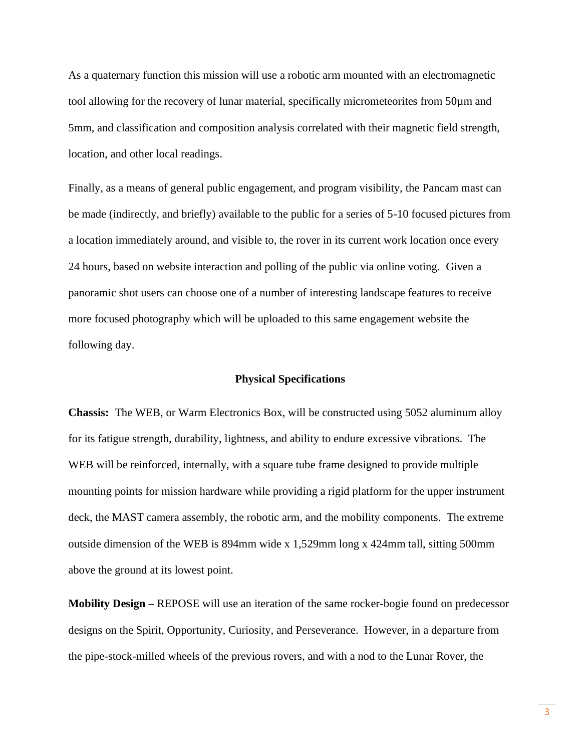As a quaternary function this mission will use a robotic arm mounted with an electromagnetic tool allowing for the recovery of lunar material, specifically micrometeorites from 50µm and 5mm, and classification and composition analysis correlated with their magnetic field strength, location, and other local readings.

Finally, as a means of general public engagement, and program visibility, the Pancam mast can be made (indirectly, and briefly) available to the public for a series of 5-10 focused pictures from a location immediately around, and visible to, the rover in its current work location once every 24 hours, based on website interaction and polling of the public via online voting. Given a panoramic shot users can choose one of a number of interesting landscape features to receive more focused photography which will be uploaded to this same engagement website the following day.

#### **Physical Specifications**

**Chassis:** The WEB, or Warm Electronics Box, will be constructed using 5052 aluminum alloy for its fatigue strength, durability, lightness, and ability to endure excessive vibrations. The WEB will be reinforced, internally, with a square tube frame designed to provide multiple mounting points for mission hardware while providing a rigid platform for the upper instrument deck, the MAST camera assembly, the robotic arm, and the mobility components. The extreme outside dimension of the WEB is 894mm wide x 1,529mm long x 424mm tall, sitting 500mm above the ground at its lowest point.

**Mobility Design –** REPOSE will use an iteration of the same rocker-bogie found on predecessor designs on the Spirit, Opportunity, Curiosity, and Perseverance. However, in a departure from the pipe-stock-milled wheels of the previous rovers, and with a nod to the Lunar Rover, the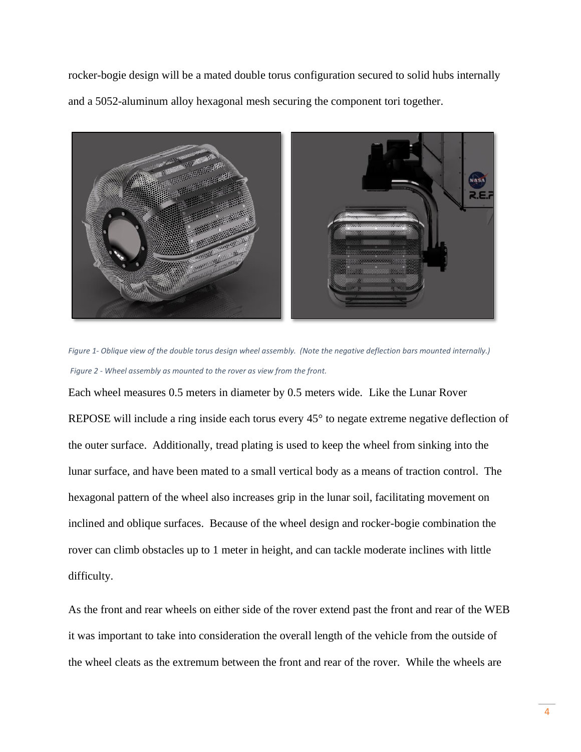rocker-bogie design will be a mated double torus configuration secured to solid hubs internally and a 5052-aluminum alloy hexagonal mesh securing the component tori together.



*Figure 1- Oblique view of the double torus design wheel assembly. (Note the negative deflection bars mounted internally.) Figure 2 - Wheel assembly as mounted to the rover as view from the front.*

Each wheel measures 0.5 meters in diameter by 0.5 meters wide. Like the Lunar Rover REPOSE will include a ring inside each torus every 45° to negate extreme negative deflection of the outer surface. Additionally, tread plating is used to keep the wheel from sinking into the lunar surface, and have been mated to a small vertical body as a means of traction control. The hexagonal pattern of the wheel also increases grip in the lunar soil, facilitating movement on inclined and oblique surfaces. Because of the wheel design and rocker-bogie combination the rover can climb obstacles up to 1 meter in height, and can tackle moderate inclines with little difficulty.

As the front and rear wheels on either side of the rover extend past the front and rear of the WEB it was important to take into consideration the overall length of the vehicle from the outside of the wheel cleats as the extremum between the front and rear of the rover. While the wheels are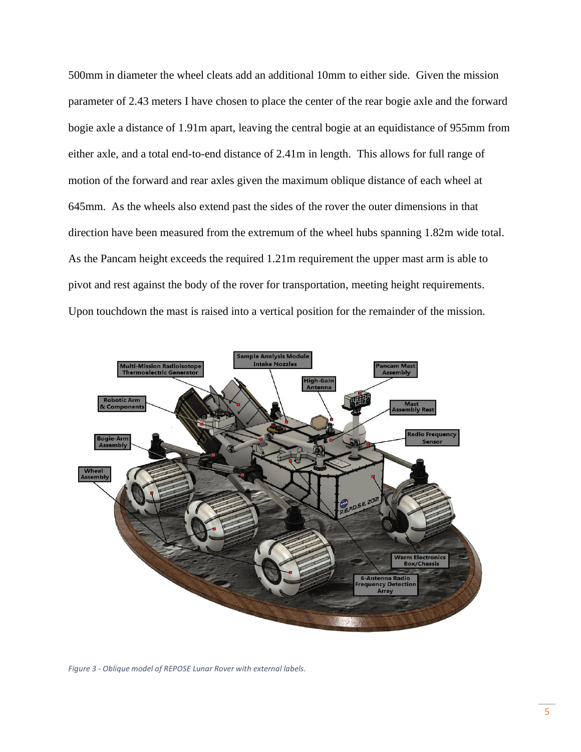500mm in diameter the wheel cleats add an additional 10mm to either side. Given the mission parameter of 2.43 meters I have chosen to place the center of the rear bogie axle and the forward bogie axle a distance of 1.91m apart, leaving the central bogie at an equidistance of 955mm from either axle, and a total end-to-end distance of 2.41m in length. This allows for full range of motion of the forward and rear axles given the maximum oblique distance of each wheel at 645mm. As the wheels also extend past the sides of the rover the outer dimensions in that direction have been measured from the extremum of the wheel hubs spanning 1.82m wide total. As the Pancam height exceeds the required 1.21m requirement the upper mast arm is able to pivot and rest against the body of the rover for transportation, meeting height requirements. Upon touchdown the mast is raised into a vertical position for the remainder of the mission.



*Figure 3 - Oblique model of REPOSE Lunar Rover with external labels.*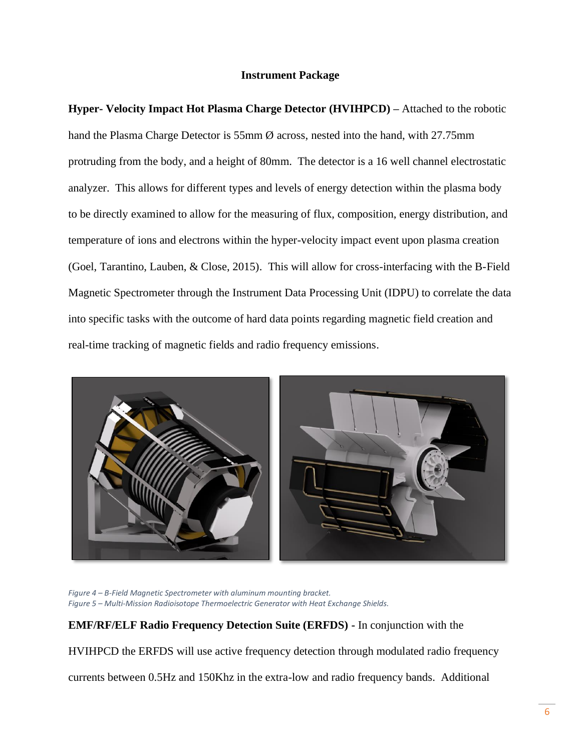# **Instrument Package**

**Hyper- Velocity Impact Hot Plasma Charge Detector (HVIHPCD) –** Attached to the robotic hand the Plasma Charge Detector is 55mm  $\emptyset$  across, nested into the hand, with 27.75mm protruding from the body, and a height of 80mm. The detector is a 16 well channel electrostatic analyzer. This allows for different types and levels of energy detection within the plasma body to be directly examined to allow for the measuring of flux, composition, energy distribution, and temperature of ions and electrons within the hyper-velocity impact event upon plasma creation (Goel, Tarantino, Lauben, & Close, 2015). This will allow for cross-interfacing with the B-Field Magnetic Spectrometer through the Instrument Data Processing Unit (IDPU) to correlate the data into specific tasks with the outcome of hard data points regarding magnetic field creation and real-time tracking of magnetic fields and radio frequency emissions.



*Figure 4 – B-Field Magnetic Spectrometer with aluminum mounting bracket. Figure 5 – Multi-Mission Radioisotope Thermoelectric Generator with Heat Exchange Shields.*

**EMF/RF/ELF Radio Frequency Detection Suite (ERFDS) -** In conjunction with the

HVIHPCD the ERFDS will use active frequency detection through modulated radio frequency

currents between 0.5Hz and 150Khz in the extra-low and radio frequency bands. Additional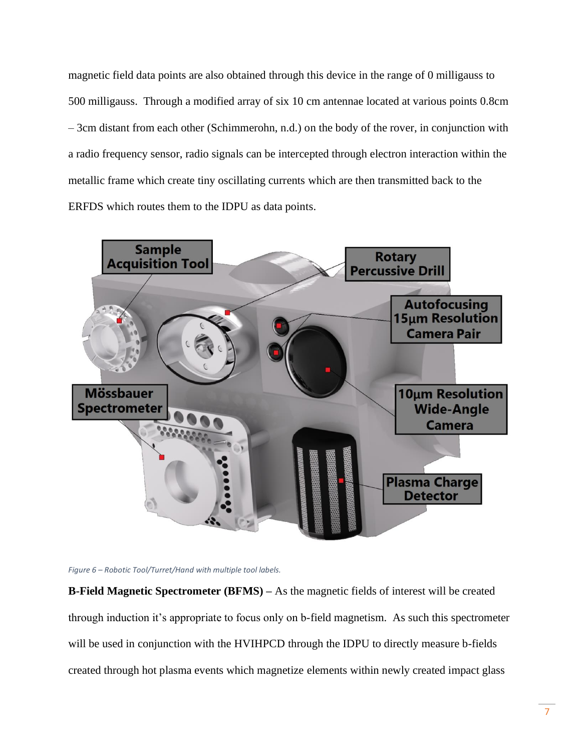magnetic field data points are also obtained through this device in the range of 0 milligauss to 500 milligauss. Through a modified array of six 10 cm antennae located at various points 0.8cm – 3cm distant from each other (Schimmerohn, n.d.) on the body of the rover, in conjunction with a radio frequency sensor, radio signals can be intercepted through electron interaction within the metallic frame which create tiny oscillating currents which are then transmitted back to the ERFDS which routes them to the IDPU as data points.





**B-Field Magnetic Spectrometer (BFMS) –** As the magnetic fields of interest will be created through induction it's appropriate to focus only on b-field magnetism. As such this spectrometer will be used in conjunction with the HVIHPCD through the IDPU to directly measure b-fields created through hot plasma events which magnetize elements within newly created impact glass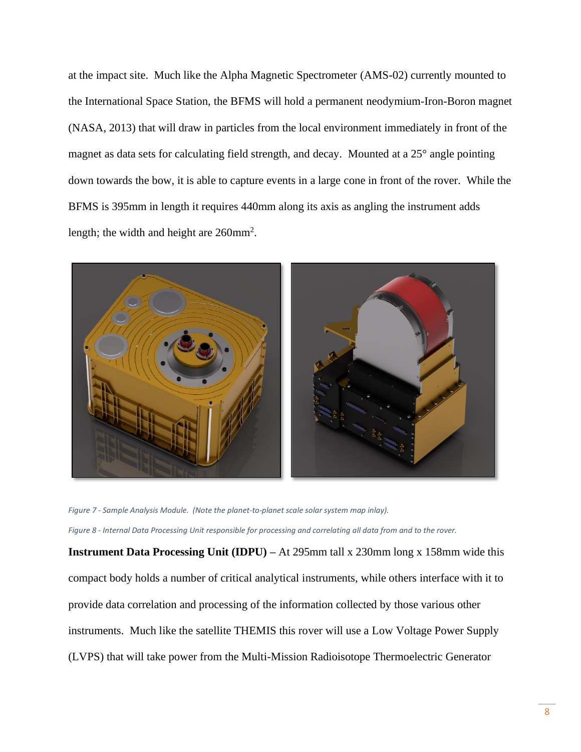at the impact site. Much like the Alpha Magnetic Spectrometer (AMS-02) currently mounted to the International Space Station, the BFMS will hold a permanent neodymium-Iron-Boron magnet (NASA, 2013) that will draw in particles from the local environment immediately in front of the magnet as data sets for calculating field strength, and decay. Mounted at a 25° angle pointing down towards the bow, it is able to capture events in a large cone in front of the rover. While the BFMS is 395mm in length it requires 440mm along its axis as angling the instrument adds length; the width and height are 260mm<sup>2</sup>.



*Figure 7 - Sample Analysis Module. (Note the planet-to-planet scale solar system map inlay). Figure 8 - Internal Data Processing Unit responsible for processing and correlating all data from and to the rover.*

**Instrument Data Processing Unit (IDPU)** – At 295mm tall x 230mm long x 158mm wide this compact body holds a number of critical analytical instruments, while others interface with it to provide data correlation and processing of the information collected by those various other instruments. Much like the satellite THEMIS this rover will use a Low Voltage Power Supply (LVPS) that will take power from the Multi-Mission Radioisotope Thermoelectric Generator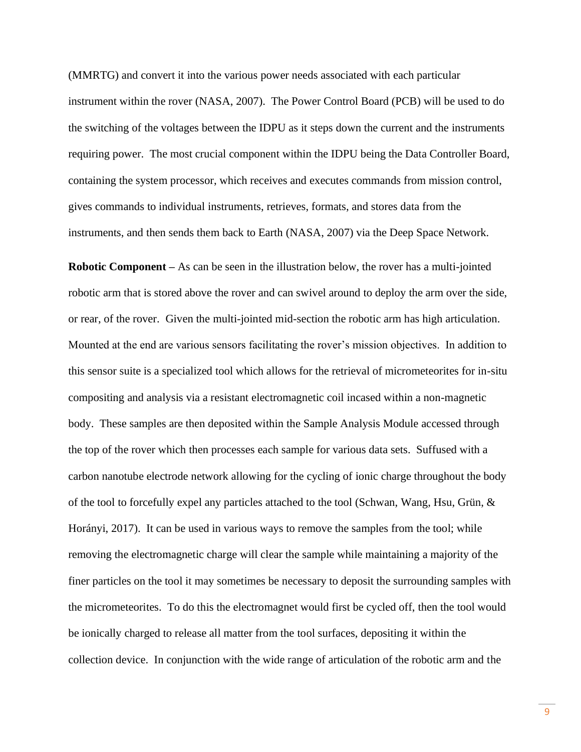(MMRTG) and convert it into the various power needs associated with each particular instrument within the rover (NASA, 2007). The Power Control Board (PCB) will be used to do the switching of the voltages between the IDPU as it steps down the current and the instruments requiring power. The most crucial component within the IDPU being the Data Controller Board, containing the system processor, which receives and executes commands from mission control, gives commands to individual instruments, retrieves, formats, and stores data from the instruments, and then sends them back to Earth (NASA, 2007) via the Deep Space Network.

**Robotic Component –** As can be seen in the illustration below, the rover has a multi-jointed robotic arm that is stored above the rover and can swivel around to deploy the arm over the side, or rear, of the rover. Given the multi-jointed mid-section the robotic arm has high articulation. Mounted at the end are various sensors facilitating the rover's mission objectives. In addition to this sensor suite is a specialized tool which allows for the retrieval of micrometeorites for in-situ compositing and analysis via a resistant electromagnetic coil incased within a non-magnetic body. These samples are then deposited within the Sample Analysis Module accessed through the top of the rover which then processes each sample for various data sets. Suffused with a carbon nanotube electrode network allowing for the cycling of ionic charge throughout the body of the tool to forcefully expel any particles attached to the tool (Schwan, Wang, Hsu, Grün,  $\&$ Horányi, 2017). It can be used in various ways to remove the samples from the tool; while removing the electromagnetic charge will clear the sample while maintaining a majority of the finer particles on the tool it may sometimes be necessary to deposit the surrounding samples with the micrometeorites. To do this the electromagnet would first be cycled off, then the tool would be ionically charged to release all matter from the tool surfaces, depositing it within the collection device. In conjunction with the wide range of articulation of the robotic arm and the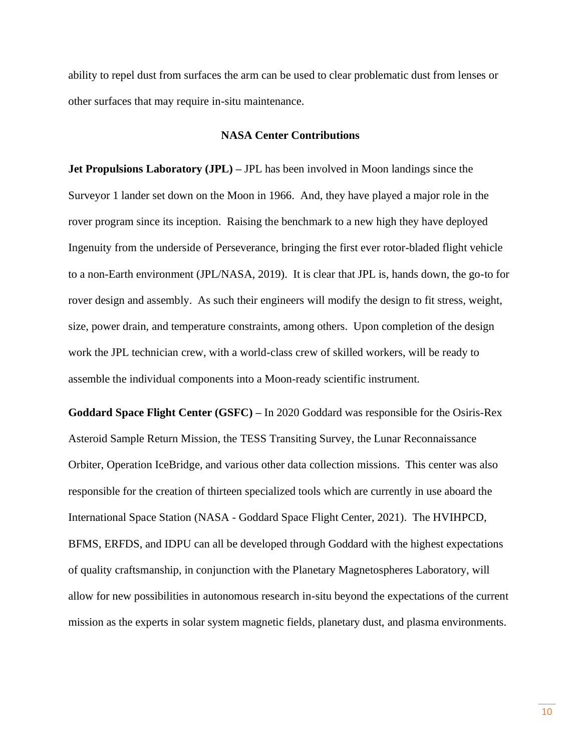ability to repel dust from surfaces the arm can be used to clear problematic dust from lenses or other surfaces that may require in-situ maintenance.

## **NASA Center Contributions**

**Jet Propulsions Laboratory (JPL)** – JPL has been involved in Moon landings since the Surveyor 1 lander set down on the Moon in 1966. And, they have played a major role in the rover program since its inception. Raising the benchmark to a new high they have deployed Ingenuity from the underside of Perseverance, bringing the first ever rotor-bladed flight vehicle to a non-Earth environment (JPL/NASA, 2019). It is clear that JPL is, hands down, the go-to for rover design and assembly. As such their engineers will modify the design to fit stress, weight, size, power drain, and temperature constraints, among others. Upon completion of the design work the JPL technician crew, with a world-class crew of skilled workers, will be ready to assemble the individual components into a Moon-ready scientific instrument.

**Goddard Space Flight Center (GSFC) –** In 2020 Goddard was responsible for the Osiris-Rex Asteroid Sample Return Mission, the TESS Transiting Survey, the Lunar Reconnaissance Orbiter, Operation IceBridge, and various other data collection missions. This center was also responsible for the creation of thirteen specialized tools which are currently in use aboard the International Space Station (NASA - Goddard Space Flight Center, 2021). The HVIHPCD, BFMS, ERFDS, and IDPU can all be developed through Goddard with the highest expectations of quality craftsmanship, in conjunction with the Planetary Magnetospheres Laboratory, will allow for new possibilities in autonomous research in-situ beyond the expectations of the current mission as the experts in solar system magnetic fields, planetary dust, and plasma environments.